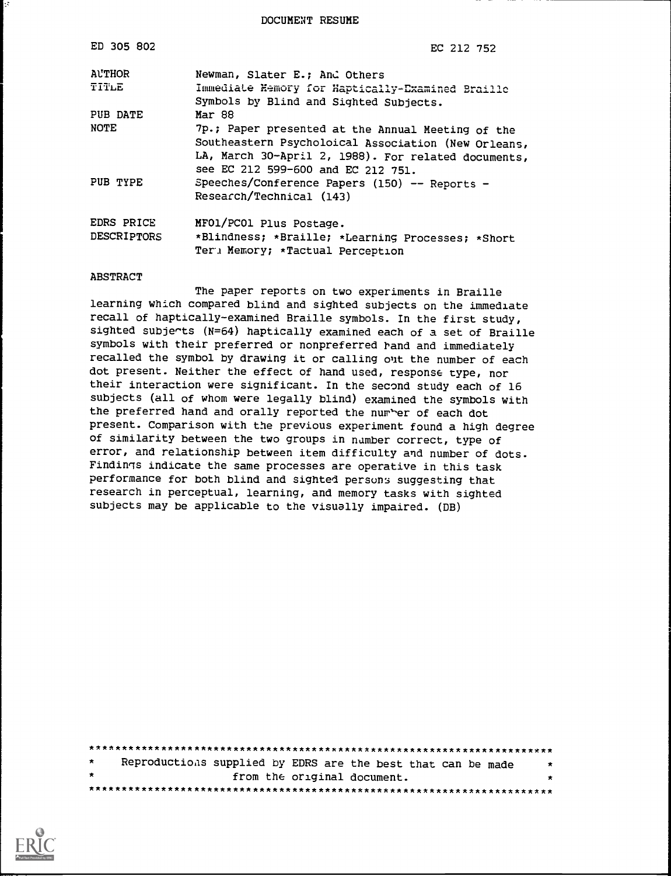DOCUMENT RESUME

| ED 305 802                | EC 212 752                                                                                                                                                                                            |
|---------------------------|-------------------------------------------------------------------------------------------------------------------------------------------------------------------------------------------------------|
| <b>ALTHOR</b><br>TITLE    | Newman, Slater E.; And Others<br>Immediate Nemory for Haptically-Examined Braille<br>Symbols by Blind and Sighted Subjects.                                                                           |
| PUB DATE                  | Mar 88                                                                                                                                                                                                |
| <b>NOTE</b>               | 7p.; Paper presented at the Annual Meeting of the<br>Southeastern Psycholoical Association (New Orleans,<br>LA, March 30-April 2, 1988). For related documents,<br>see EC 212 599-600 and EC 212 751. |
| PUB TYPE                  | Speeches/Conference Papers (150) -- Reports -<br>Research/Technical (143)                                                                                                                             |
| EDRS PRICE<br>DESCRIPTORS | MFO1/PCO1 Plus Postage.<br>*Blindness; *Braille; *Learning Processes; *Short<br>Ter: Memory; *Tactual Perception                                                                                      |

#### **ABSTRACT**

The paper reports on two experiments in Braille learning which compared blind and sighted subjects on the immediate recall of haptically-examined Braille symbols. In the first study, sighted subjects (N=64) haptically examined each of a set of Braille symbols with their preferred or nonpreferred rand and immediately recalled the symbol by drawing it or calling out the number of each dot present. Neither the effect of hand used, response type, nor their interaction were significant. In the second study each of 16 subjects (all of whom were legally blind) examined the symbols with the preferred hand and orally reported the number of each dot present. Comparison with the previous experiment found a high degree of similarity between the two groups in number correct, type of error, and relationship between item difficulty and number of dots. Findings indicate the same processes are operative in this task performance for both blind and sighted persons suggesting that research in perceptual, learning, and memory tasks with sighted subjects may be applicable to the visually impaired. (DB)

| $\star$ | Reproductions supplied by EDRS are the best that can be made | $\star$ |
|---------|--------------------------------------------------------------|---------|
| $\star$ | from the original document.                                  | $\star$ |
|         |                                                              |         |

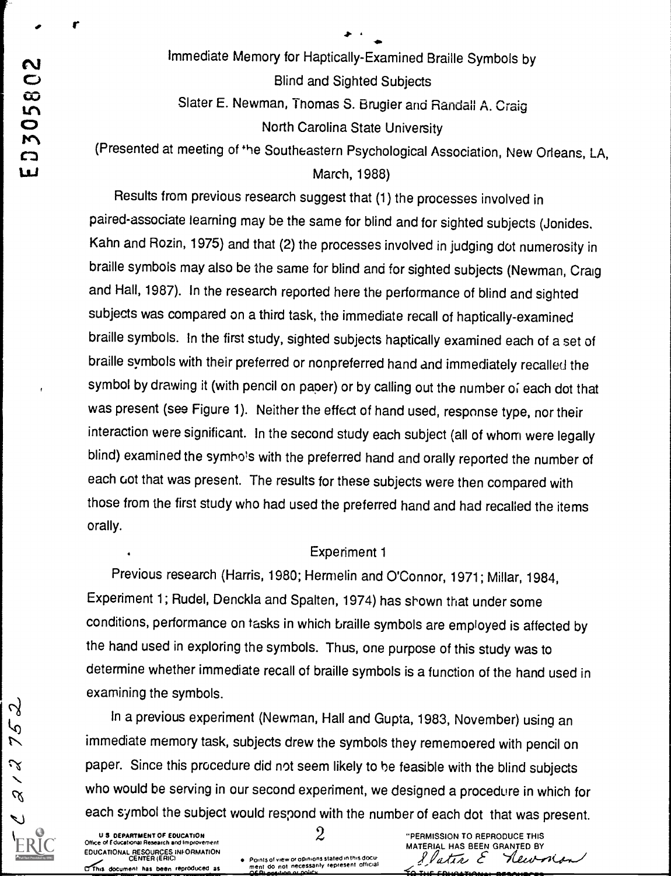Immediate Memory for Haptically-Examined Braille Symbols by<br>
Blind and Sighted Subjects<br>
Slater E. Newman, Thomas S. Brugier and Randall A. Craig<br>
North Carolina State University **Blind and Sighted Subjects** Slater E. Newman, Thomas S. Brugier and Randall A. Craig North Carolina State University

(Presented at meeting of the Southeastern Psychological Association, New Orleans, LA,

March, 1988)

Results from previous research suggest that (1) the processes involved in paired-associate learning may be the same for blind and for sighted subjects (Jonides. Kahn and Rozin, 1975) and that (2) the processes involved in judging dot numerosity in braille symbols may also be the same for blind and for sighted subjects (Newman, Craig and Hall, 1987). In the research reported here the performance of blind and sighted subjects was compared on a third task, the immediate recall of haptically-examined braille symbols. In the first study, sighted subjects haptically examined each of a set of braille symbols with their preferred or nonpreferred hand and immediately recalled the symbol by drawing it (with pencil on paper) or by calling out the number of each dot that was present (see Figure 1). Neither the effect of hand used, response type, nor their interaction were significant. In the second study each subject (all of whom were legally blind) examined the symbols with the preferred hand and orally reported the number of each cot that was present. The results for these subjects were then compared with those from the first study who had used the preferred hand and had recalled the items orally.

### Experiment 1

Previous research (Harris, 1980; Hermelin and O'Connor, 1971; Millar, 1984, Experiment 1; Rudel, Denckla and Spalten, 1974) has shown that under some conditions, performance on tasks in which braille symbols are employed is affected by the hand used in exploring the symbols. Thus, one purpose of this study was to determine whether immediate recall of braille symbols is a function of the hand used in examining the symbols.

 $\frac{1}{2}$  In a previous experiment (Newman, Hall and Gupta, 1983, November) using an (r) immediate memory task, subjects drew the symbols they rememoered with pencil or immediate memory task, subjects drew the symbols they rememoered with pencil on  $\infty$  paper. Since this procedure did not seem likely to be feasible with the blind subjects who would be serving in our second experiment, we designed a procedure in which for each symbol the subject would respond with the number of each dot that was present.<br>  $\frac{1}{2}$ <br>  $\frac{1}{2}$   $\frac{1}{2}$   $\frac{1}{2}$   $\frac{1}{2}$   $\frac{1}{2}$   $\frac{1}{2}$   $\frac{1}{2}$   $\frac{1}{2}$   $\frac{1}{2}$   $\frac{1}{2}$   $\frac{1}{2}$   $\frac{1}{2}$   $\frac{1$ 

 $\alpha$ 

CENTER (ERICI POM; computer and certain political points of view or opinions stated in this document has been reproduced as the ment do not necessarily represent official results of the certain or collicular represent offi

U 3 DEPARTMENT OF EDUCATION Office or Iducational Research and Improvement **2** 2 2 2 2 The PERMISSION TO REPRODUCE THIS<br>MATERIAL HAS BEEN GRANTED BY **MATERIAL HAS BEEN** EDUCATIONAL RESOURCES INFORMATION<br>CENTER (ERIC) + Points of view or opinions stated in this document of the state of the Content of Center Care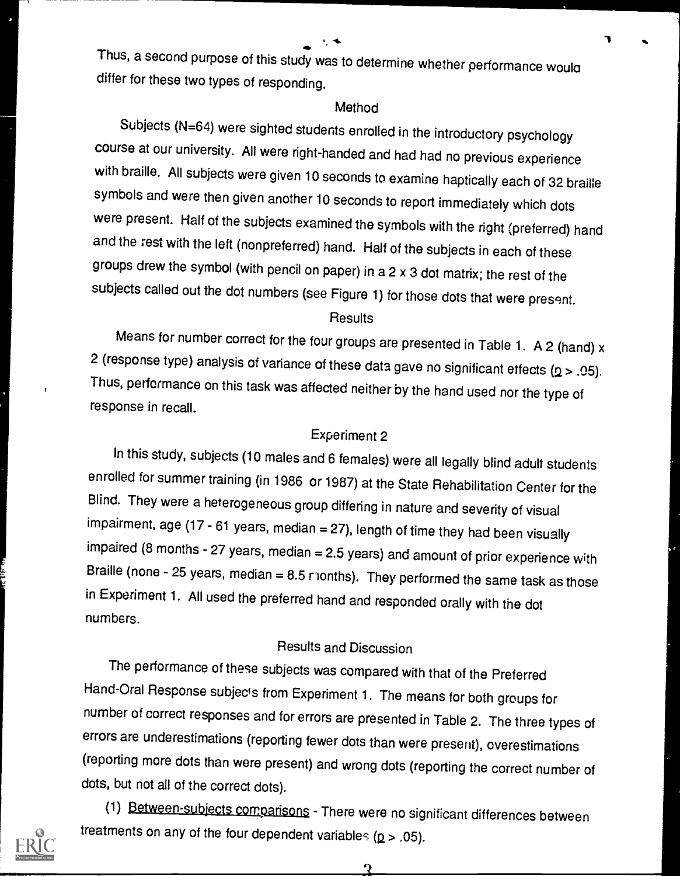$4.$   $1.$   $3.$ 

Thus, a second purpose of this study was to determine whether performance would differ for these two types of responding.

#### Method

Subjects (N=64) were sighted students enrolled in the introductory psychology course at our university. All were right-handed and had had no previous experience with braille. All subjects were given 10 seconds to examine haptically each of 32 braille symbols and were then given another 10 seconds to report immediately which dots were present. Half of the subjects examined the symbols with the right (preferred) hand and the rest with the left (nonpreferred) hand. Half of the subjects in each of these groups drew the symbol (with pencil on paper) in a 2 x 3 dot matrix; the rest of the subjects called out the dot numbers (see Figure 1) for those dots that were present.

#### **Results**

Means for number correct for the four groups are presented in Table 1. A 2 (hand) x 2 (response type) analysis of variance of these data gave no significant effects ( $p > .05$ ). Thus, performance on this task was affected neither by the hand used nor the type of response in recall.

### Experiment 2

In this study, subjects (10 males and 6 females) were all legally blind adult students enrolled for summer training (in 1986 or 1987) at the State Rehabilitation Center for the Blind. They were a heterogeneous group differing in nature and severity of visual impairment, age (17 - 61 years, median =  $27$ ), length of time they had been visually  $impaired$  (8 months - 27 years, median = 2.5 years) and amount of prior experience with Braille (none - 25 years, median =  $8.5$  ronths). They performed the same task as those in Experiment 1. All used the preferred hand and responded orally with the dot numbers.

### Results and Discussion

The performance of these subjects was compared with that of the Preferred Hand-Oral Response subjects from Experiment 1. The means for both groups for number of correct responses and for errors are presented in Table 2. The three types of errors are underestimations (reporting fewer dots than were present), overestimations (reporting more dots than were present) and wrong dots (reporting the correct number of dots, but not all of the correct dots).

(1) Between-subjects comparisons - There were no significant differences between treatments on any of the four dependent variables  $(p > .05)$ .



 $\mathbf 2$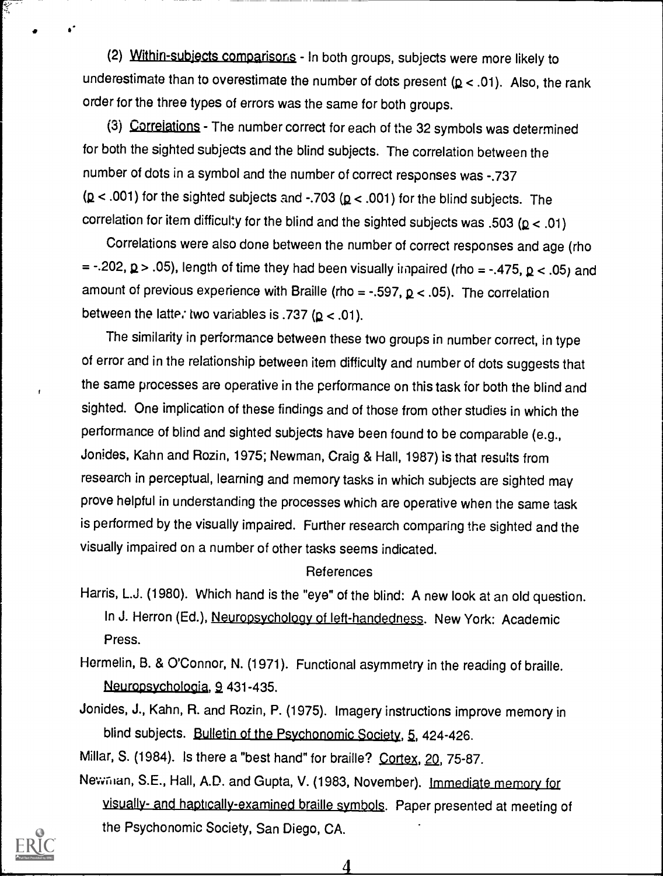(2) Within-subjects comparisons - In both groups, subjects were more likely to underestimate than to overestimate the number of dots present  $(p < .01)$ . Also, the rank order for the three types of errors was the same for both groups.

(3) Correlations - The number correct for each of the 32 symbols was determined for both the sighted subjects and the blind subjects. The correlation between the number of dots in a symbol and the number of correct responses was -.737  $(p < .001)$  for the sighted subjects and -.703  $(p < .001)$  for the blind subjects. The correlation for item difficulty for the blind and the sighted subjects was .503 ( $p < .01$ )

Correlations were also done between the number of correct responses and age (rho = -.202,  $\mathbf{p}$  > .05), length of time they had been visually impaired (rho = -.475,  $\mathbf{p}$  < .05) and amount of previous experience with Braille (rho = -.597,  $p$  < .05). The correlation between the latte. two variables is .737 ( $p < .01$ ).

The similarity in performance between these two groups in number correct, in type of error and in the relationship between item difficulty and number of dots suggests that the same processes are operative in the performance on this task for both the blind and sighted. One implication of these findings and of those from other studies in which the performance of blind and sighted subjects have been found to be comparable (e.g., Jonides, Kahn and Rozin, 1975; Newman, Craig & Hall, 1987) is that results from research in perceptual, learning and memory tasks in which subjects are sighted may prove helpful in understanding the processes which are operative when the same task is performed by the visually impaired. Further research comparing the sighted and the visually impaired on a number of other tasks seems indicated.

#### References

- Harris, L.J. (1980). Which hand is the "eye" of the blind: A new look at an old question. In J. Herron (Ed.), Neuropsychology of left-handedness. New York: Academic Press.
- Hormelin, B. & O'Connor, N. (1971). Functional asymmetry in the reading of braille. Neuropsychologia, 9, 431-435.
- Jonides, J., Kahn, R. and Rozin, P. (1975). Imagery instructions improve memory in blind subjects. Bulletin of the Psychonomic Society, 5, 424-426.

Millar, S. (1984). Is there a "best hand" for braille? Cortex, 20, 75-87.

Newman, S.E., Hall, A.D. and Gupta, V. (1983, November). Immediate memory for visually- and haptically-examined braille symbols. Paper presented at meeting of the Psychonomic Society, San Diego, CA.

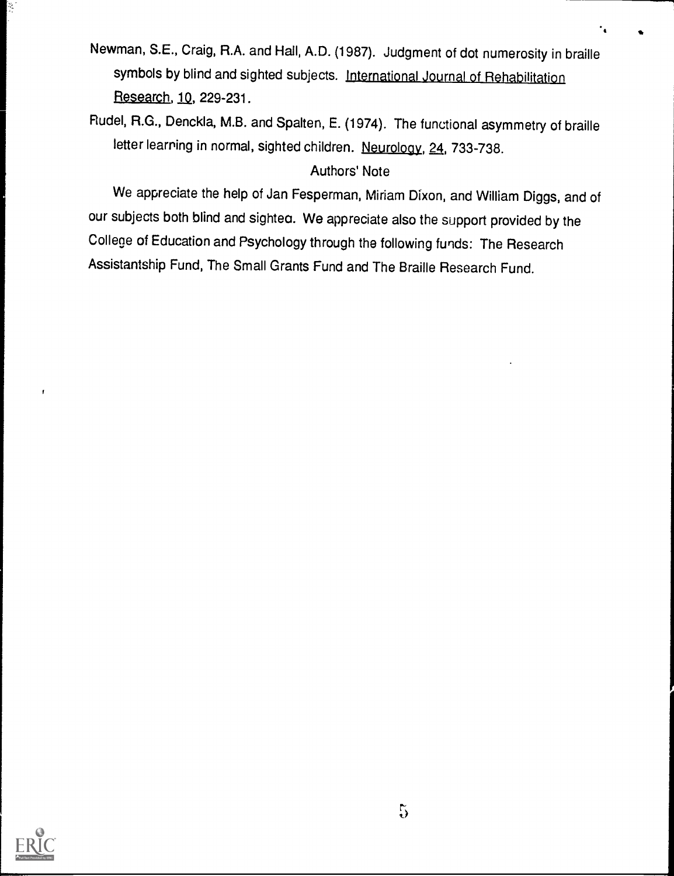Newman, S.E., Craig, R.A. and Hall, A.D. (1987). Judgment of dot numerosity in braille symbols by blind and sighted subjects. International Journal of Rehabilitation Research, 1Q, 229-231.

Rudel, R.G., Denckla, M.B. and Spalten, E. (1974). The functional asymmetry of braille letter learning in normal, sighted children. Neurology, 24, 733-738.

### Authors' Note

We appreciate the help of Jan Fesperman, Miriam Dixon, and William Diggs, and of our subjects both blind and sightea. We appreciate also the support provided by the College of Education and Psychology through the following funds: The Research Assistantship Fund, The Small Grants Fund and The Braille Research Fund.



 $\mathbf{f}$ 

ķ,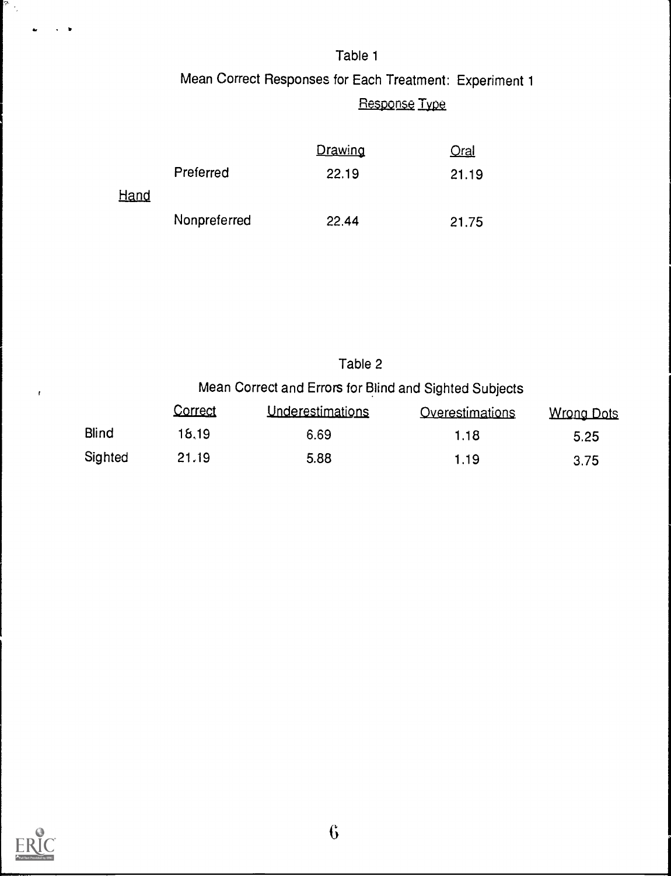# Table 1 Mean Correct Responses for Each Treatment: Experiment 1 Response Type

|             |              | Drawing | <u>Oral</u> |  |
|-------------|--------------|---------|-------------|--|
|             | Preferred    | 22.19   | 21.19       |  |
| <u>Hand</u> |              |         |             |  |
|             | Nonpreferred | 22.44   | 21.75       |  |

## Table 2 Mean Correct and Errors for Blind and Sighted Subjects

|         | Correct | Underestimations | Overestimations | Wrong Dots |  |
|---------|---------|------------------|-----------------|------------|--|
| Blind   | 18.19   | 6.69             | 1.18            | 5.25       |  |
| Sighted | 21.19   | 5.88             | 1.19            | 3.75       |  |



 $\bar{t}$ 

 $\frac{1}{2} \frac{1}{2} \frac{1}{2}$  .